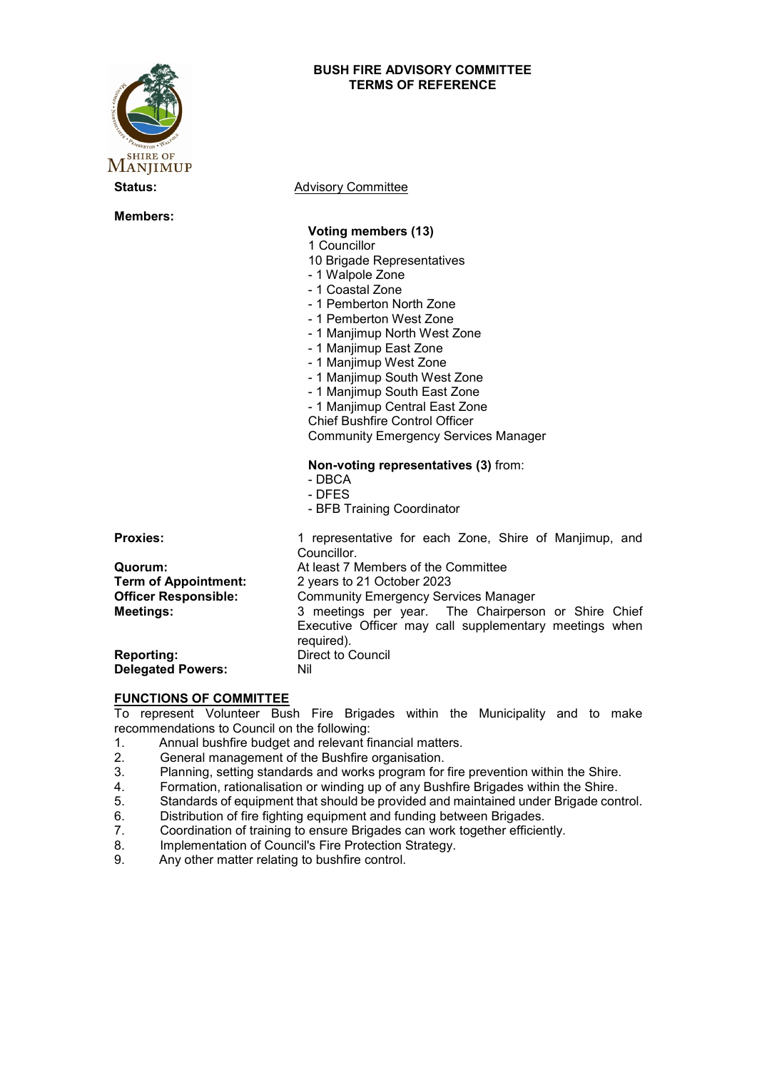## **BUSH FIRE ADVISORY COMMITTEE TERMS OF REFERENCE**



**Members:**

**Status:** Advisory Committee

### **Voting members (13)**

- 1 Councillor
- 10 Brigade Representatives
- 1 Walpole Zone
- 1 Coastal Zone
- 1 Pemberton North Zone
- 1 Pemberton West Zone
- 1 Manjimup North West Zone
- 1 Manjimup East Zone
- 1 Manjimup West Zone
- 1 Manjimup South West Zone
- 1 Manjimup South East Zone
- 1 Manjimup Central East Zone

Chief Bushfire Control Officer

Community Emergency Services Manager

#### **Non-voting representatives (3)** from:

- DBCA
- DFES
- BFB Training Coordinator

| <b>Proxies:</b>             | 1 representative for each Zone, Shire of Manjimup, and<br>Councillor. |
|-----------------------------|-----------------------------------------------------------------------|
| Quorum:                     | At least 7 Members of the Committee                                   |
| <b>Term of Appointment:</b> | 2 years to 21 October 2023                                            |
| <b>Officer Responsible:</b> | <b>Community Emergency Services Manager</b>                           |
| <b>Meetings:</b>            | 3 meetings per year. The Chairperson or Shire Chief                   |
|                             | Executive Officer may call supplementary meetings when<br>required).  |
| <b>Reporting:</b>           | <b>Direct to Council</b>                                              |
| <b>Delegated Powers:</b>    | Nil                                                                   |

#### **FUNCTIONS OF COMMITTEE**

To represent Volunteer Bush Fire Brigades within the Municipality and to make recommendations to Council on the following:

- 1. Annual bushfire budget and relevant financial matters.
- 2. General management of the Bushfire organisation.<br>3. Planning, setting standards and works program for
- 3. Planning, setting standards and works program for fire prevention within the Shire.<br>4. Formation, rationalisation or winding up of any Bushfire Brigades within the Shire.
- Formation, rationalisation or winding up of any Bushfire Brigades within the Shire.
- 5. Standards of equipment that should be provided and maintained under Brigade control.
- 6. Distribution of fire fighting equipment and funding between Brigades.
- 7. Coordination of training to ensure Brigades can work together efficiently.
- 8. Implementation of Council's Fire Protection Strategy.
- 9. Any other matter relating to bushfire control.